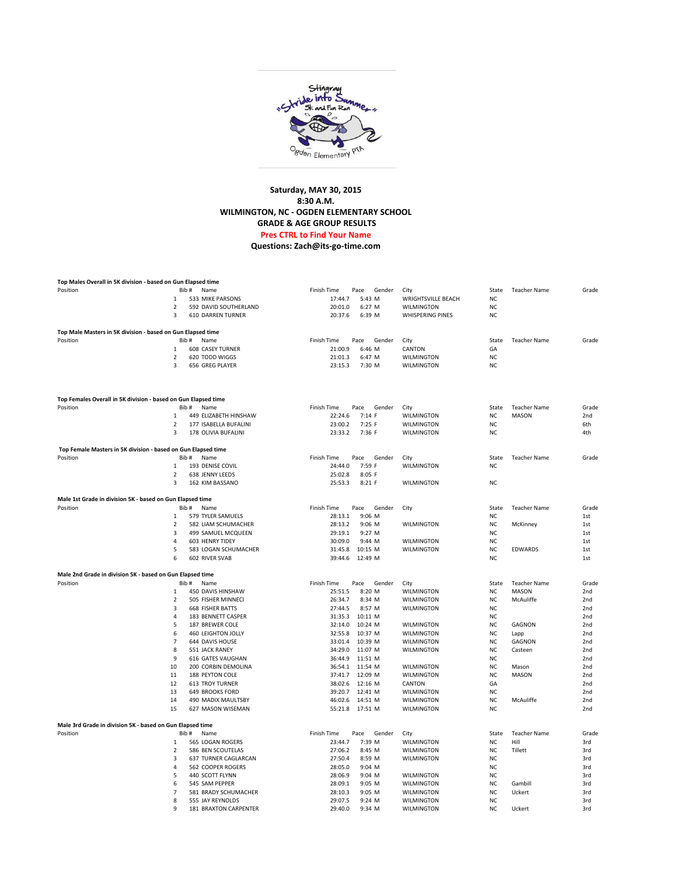

## **Saturday, MAY 30, 2015 8:30 A.M. WILMINGTON, NC - OGDEN ELEMENTARY SCHOOL GRADE & AGE GROUP RESULTS Pres CTRL to Find Your Name**

**[Questions: Zach@its-go-time.com](mailto:zach@its-go-time.com?subject=Stingray%20Stride%20Time%20issue)**

| Top Males Overall in 5K division - based on Gun Elapsed time               |                         |                                           |                               |                           |                 |                     |                 |
|----------------------------------------------------------------------------|-------------------------|-------------------------------------------|-------------------------------|---------------------------|-----------------|---------------------|-----------------|
| Position                                                                   | Rih #                   | Name                                      | Finish Time<br>Pace<br>Gender | City                      | State           | <b>Teacher Name</b> | Grade           |
|                                                                            | 1                       | 533 MIKE PARSONS                          | 17:44.7<br>5:43 M             | <b>WRIGHTSVILLE BEACH</b> | <b>NC</b>       |                     |                 |
|                                                                            | 2                       | 592 DAVID SOUTHERLAND                     | 20:01.0<br>6:27 M             | <b>WILMINGTON</b>         | NC              |                     |                 |
|                                                                            | $\overline{\mathbf{a}}$ | <b>610 DARREN TURNER</b>                  | 20:37.6<br>6:39 M             | WHISPERING PINES          | <b>NC</b>       |                     |                 |
|                                                                            |                         |                                           |                               |                           |                 |                     |                 |
| Top Male Masters in 5K division - based on Gun Elapsed time<br>Position    | Bib#                    | Name                                      | Finish Time<br>Pace<br>Gender | City                      | State           | <b>Teacher Name</b> | Grade           |
|                                                                            | $\mathbf{1}$            | <b>608 CASEY TURNER</b>                   | 21:00.9<br>6:46 M             | CANTON                    | GA              |                     |                 |
|                                                                            | $\overline{2}$          | 620 TODD WIGGS                            | 21:01.3<br>6:47 M             | WILMINGTON                | <b>NC</b>       |                     |                 |
|                                                                            | 3                       | 656 GREG PLAYER                           | 23:15.3<br>7:30 M             | <b>WILMINGTON</b>         | <b>NC</b>       |                     |                 |
|                                                                            |                         |                                           |                               |                           |                 |                     |                 |
|                                                                            |                         |                                           |                               |                           |                 |                     |                 |
| Top Females Overall in 5K division - based on Gun Elapsed time<br>Position | Bib #                   | Name                                      | Finish Time<br>Pace<br>Gender | City                      | State           | <b>Teacher Name</b> | Grade           |
|                                                                            | 1                       | 449 ELIZABETH HINSHAW                     | 22:24.6<br>7:14 F             | WILMINGTON                | NC              | MASON               | 2nd             |
|                                                                            | $\overline{2}$          | 177 ISABELLA BUFALINI                     | 23:00.2<br>7:25 F             | <b>WILMINGTON</b>         | <b>NC</b>       |                     | 6th             |
|                                                                            | 3                       | 178 OLIVIA BUFALINI                       | 23:33.2<br>7:36 F             | <b>WILMINGTON</b>         | <b>NC</b>       |                     | 4th             |
|                                                                            |                         |                                           |                               |                           |                 |                     |                 |
| Top Female Masters in 5K division - based on Gun Elapsed time              |                         |                                           |                               |                           |                 |                     |                 |
| Position                                                                   | Bib#                    | Name                                      | Finish Time<br>Pace<br>Gender | City                      | State           | <b>Teacher Name</b> | Grade           |
|                                                                            | 1                       | 193 DENISE COVIL                          | 7:59 F<br>24:44.0             | WILMINGTON                | NC              |                     |                 |
|                                                                            | $\overline{2}$          | 638 JENNY LEEDS                           | 25:02.8<br>8:05 F             |                           |                 |                     |                 |
|                                                                            | 3                       | 162 KIM BASSANO                           | 25:53.3<br>$8:21$ F           | <b>WILMINGTON</b>         | <b>NC</b>       |                     |                 |
| Male 1st Grade in division 5K - based on Gun Elapsed time                  |                         |                                           |                               |                           |                 |                     |                 |
| Position                                                                   | Bib#                    | Name                                      | Finish Time<br>Pace<br>Gender | City                      | State           | <b>Teacher Name</b> | Grade           |
|                                                                            | $\mathbf{1}$            | 579 TYLER SAMUELS                         | 9:06 M<br>28:13.1             |                           | <b>NC</b>       |                     | 1st             |
|                                                                            | $\overline{2}$          | 582 LIAM SCHUMACHER                       | 28:13.2<br>9:06 M             | WILMINGTON                | <b>NC</b>       | McKinney            | 1st             |
|                                                                            | 3                       | 499 SAMUEL MCQUEEN                        | 29:19.1<br>9:27 M             |                           | <b>NC</b>       |                     | 1st             |
|                                                                            | $\overline{4}$          | 603 HENRY TIDEY                           | 30:09.0<br>9:44 M             | <b>WILMINGTON</b>         | <b>NC</b>       |                     | 1st             |
|                                                                            | 5                       | 583 LOGAN SCHUMACHER                      | 31:45.8<br>10:15 M            | WILMINGTON                | <b>NC</b>       | EDWARDS             | 1st             |
|                                                                            | 6                       | 602 RIVER SVAB                            | 39:44.6<br>12:49 M            |                           | <b>NC</b>       |                     | 1st             |
| Male 2nd Grade in division 5K - based on Gun Elapsed time                  |                         |                                           |                               |                           |                 |                     |                 |
| Position                                                                   | Bib#                    | Name                                      | Finish Time<br>Pace<br>Gender | City                      | State           | <b>Teacher Name</b> | Grade           |
|                                                                            | $\,1\,$                 | 450 DAVIS HINSHAW                         | 25:51.5<br>8:20 M             | <b>WILMINGTON</b>         | NC              | MASON               | 2nd             |
|                                                                            | $\overline{2}$          | 505 FISHER MINNECI                        | 26:34.7<br>8:34 M             | WILMINGTON                | <b>NC</b>       | McAuliffe           | 2nd             |
|                                                                            | 3                       | <b>668 FISHER BATTS</b>                   | 27:44.5<br>8:57 M             | <b>WILMINGTON</b>         | <b>NC</b>       |                     | 2nd             |
|                                                                            | $\overline{4}$          | 183 BENNETT CASPER                        | 31:35.3<br>10:11 M            |                           | NC              |                     | 2nd             |
|                                                                            | 5                       | 187 BREWER COLE                           | 32:14.0<br>10:24 M            | WILMINGTON                | <b>NC</b>       | GAGNON              | 2nd             |
|                                                                            | 6                       | 460 LEIGHTON JOLLY                        | 32:55.8<br>10:37 M            | <b>WILMINGTON</b>         | <b>NC</b>       | Lapp                | 2nd             |
|                                                                            | $\overline{7}$          | 644 DAVIS HOUSE                           | 33:01.4<br>10:39 M            | WILMINGTON                | <b>NC</b>       | GAGNON              | 2 <sub>nd</sub> |
|                                                                            | 8                       | 551 JACK RANEY                            | 34:29.0<br>11:07 M            | <b>WILMINGTON</b>         | NC              | Casteen             | 2nd             |
|                                                                            | 9                       | 616 GATES VAUGHAN                         | 36:44.9<br>11:51 M            |                           | <b>NC</b>       |                     | 2nd             |
|                                                                            | 10                      | 200 CORBIN DEMOLINA                       | 36:54.1<br>11:54 M            | WILMINGTON                | NC              | Mason               | 2 <sub>nd</sub> |
|                                                                            | 11                      | 188 PEYTON COLE                           | 37:41.7<br>12:09 M            | <b>WILMINGTON</b>         | <b>NC</b>       | MASON               | 2nd             |
|                                                                            | 12                      | <b>613 TROY TURNER</b>                    | 38:02.6<br>12:16 M            | CANTON                    | GA              |                     | 2nd             |
|                                                                            | 13                      | <b>649 BROOKS FORD</b>                    | 39:20.7<br>12:41 M            | <b>WILMINGTON</b>         | <b>NC</b>       |                     | 2nd             |
|                                                                            | 14                      | 490 MADIX MAULTSBY                        | 46:02.6<br>14:51 M            | WILMINGTON                | NC              | McAuliffe           | 2nd             |
|                                                                            | 15                      | 627 MASON WISEMAN                         | 55:21.8<br>17:51 M            | WILMINGTON                | <b>NC</b>       |                     | 2nd             |
| Male 3rd Grade in division 5K - based on Gun Elapsed time                  |                         |                                           |                               |                           |                 |                     |                 |
| Position                                                                   | Bib #                   | Name                                      | Finish Time<br>Pace<br>Gender | City                      | State           | <b>Teacher Name</b> | Grade           |
|                                                                            | $\mathbf{1}$            | 565 LOGAN ROGERS                          | 23:44.7<br>7:39 M             | <b>WILMINGTON</b>         | <b>NC</b>       | Hill                | 3rd             |
|                                                                            | 2                       | 586 BEN SCOUTELAS                         | 27:06.2<br>8:45 M             | WILMINGTON                | NC              | Tillett             | 3rd             |
|                                                                            | 3                       |                                           | 8:59 M                        | WILMINGTON                | <b>NC</b>       |                     |                 |
|                                                                            | $\overline{a}$          | 637 TURNER CAGLARCAN<br>562 COOPER ROGERS | 27:50.4<br>28:05.0            |                           | <b>NC</b>       |                     | 3rd             |
|                                                                            | 5                       |                                           | 9:04 M                        |                           |                 |                     | 3rd             |
|                                                                            |                         | 440 SCOTT FLYNN                           | 28:06.9<br>9:04 M             | WILMINGTON                | NC              |                     | 3rd             |
|                                                                            | 6<br>$\overline{7}$     | 545 SAM PEPPER                            | 28:09.1<br>9:05 M             | <b>WILMINGTON</b>         | <b>NC</b>       | Gambill             | 3rd             |
|                                                                            |                         | 581 BRADY SCHUMACHER                      | 28:10.3<br>9:05 M             | WILMINGTON                | NC<br><b>NC</b> | Uckert              | 3rd<br>3rd      |
|                                                                            | 8                       | 555 JAY REYNOLDS                          | 29:07.5<br>9:24 M             | WILMINGTON                |                 |                     |                 |
|                                                                            | 9                       | 181 BRAXTON CARPENTER                     | 29:40.0<br>9:34 M             | <b>WILMINGTON</b>         | <b>NC</b>       | Uckert              | 3rd             |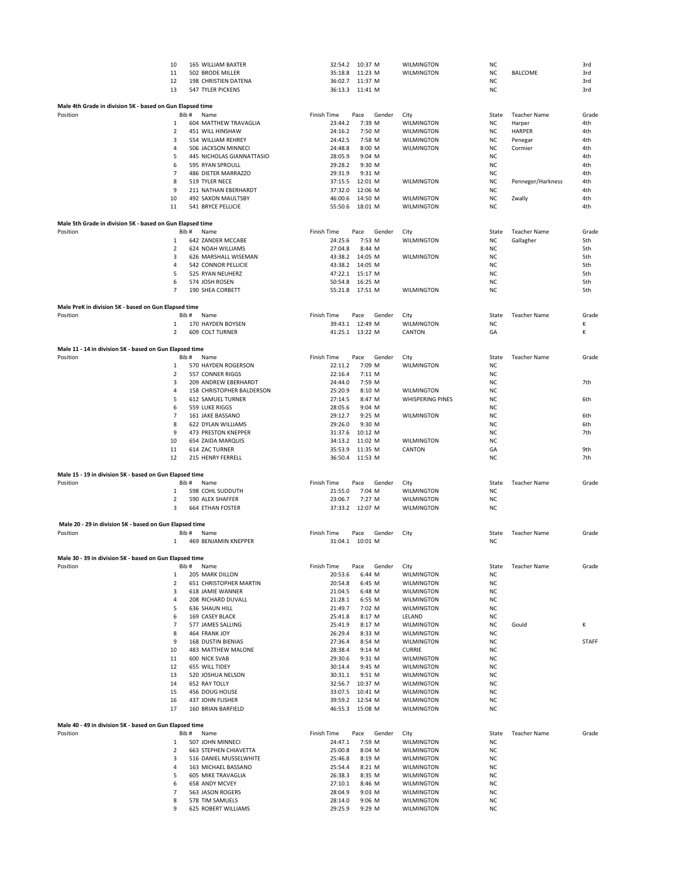|                                                           | 10             | 165 WILLIAM BAXTER                                | 32:54.2 10:37 M                        | <b>WILMINGTON</b>                     | NC.       |                     | 3rd          |
|-----------------------------------------------------------|----------------|---------------------------------------------------|----------------------------------------|---------------------------------------|-----------|---------------------|--------------|
|                                                           | 11             | 502 BRODE MILLER                                  | 35:18.8<br>11:23 M                     | <b>WILMINGTON</b>                     | <b>NC</b> | <b>BALCOME</b>      | 3rd          |
|                                                           | 12             | 198 CHRISTIEN DATENA                              | 36:02.7 11:37 M                        |                                       | <b>NC</b> |                     | 3rd          |
|                                                           | 13             | 547 TYLER PICKENS                                 | 36:13.3<br>11:41 M                     |                                       | <b>NC</b> |                     | 3rd          |
|                                                           |                |                                                   |                                        |                                       |           |                     |              |
| Male 4th Grade in division 5K - based on Gun Elapsed time |                |                                                   |                                        |                                       |           |                     |              |
| Position                                                  |                | Bib #<br>Name                                     | Finish Time<br>Pace<br>Gender          | City                                  | State     | <b>Teacher Name</b> | Grade        |
|                                                           | $\mathbf{1}$   | 604 MATTHEW TRAVAGLIA                             | 23:44.2<br>7:39 M                      | WILMINGTON                            | <b>NC</b> | Harper              | 4th          |
|                                                           | $\overline{2}$ | 451 WILL HINSHAW                                  | 24:16.2<br>7:50 M                      | <b>WILMINGTON</b>                     | NC        | <b>HARPER</b>       | 4th          |
|                                                           | 3              | 554 WILLIAM REHREY                                | 24:42.5<br>7:58 M                      | WILMINGTON                            | <b>NC</b> | Penegar             | 4th          |
|                                                           | 4              | 506 JACKSON MINNECI                               | 24:48.8<br>8:00 M                      | WILMINGTON                            | NC        | Cormier             | 4th          |
|                                                           | 5              | 445 NICHOLAS GIANNATTASIO                         | 28:05.9<br>9:04 M                      |                                       | <b>NC</b> |                     | 4th          |
|                                                           | 6              | 595 RYAN SPROULL                                  | 29:28.2<br>9:30 M                      |                                       | NC        |                     | 4th          |
|                                                           | $\overline{7}$ | 486 DIETER MARRAZZO                               | 29:31.9<br>9:31 M                      |                                       | NC        |                     | 4th          |
|                                                           | 8              | 519 TYLER NECE                                    | 12:01 M<br>37:15.5                     | WILMINGTON                            | NC        | Penneger/Harkness   | 4th          |
|                                                           | 9              | 211 NATHAN EBERHARDT                              | 37:32.0<br>12:06 M                     |                                       | NC        |                     | 4th          |
|                                                           | 10             | 492 SAXON MAULTSBY                                | 46:00.6<br>14:50 M                     | WILMINGTON                            | <b>NC</b> | Zwally              | 4th          |
|                                                           | 11             | 541 BRYCE PELLICIE                                | 18:01 M<br>55:50.6                     | WILMINGTON                            | NC        |                     | 4th          |
|                                                           |                |                                                   |                                        |                                       |           |                     |              |
| Male 5th Grade in division 5K - based on Gun Elapsed time |                |                                                   |                                        |                                       |           |                     |              |
| Position                                                  |                | Bib #<br>Name                                     | Finish Time<br>Pace<br>Gender          | City                                  | State     | <b>Teacher Name</b> | Grade        |
|                                                           | 1              | 642 ZANDER MCCABE                                 | 7:53 M<br>24:25.6                      | WILMINGTON                            | ΝC        | Gallagher           | 5th          |
|                                                           | $\overline{2}$ | 624 NOAH WILLIAMS                                 | 27:04.8<br>8:44 M                      |                                       | <b>NC</b> |                     | 5th          |
|                                                           | 3              | 626 MARSHALL WISEMAN                              | 43:38.2<br>14:05 M                     | <b>WILMINGTON</b>                     | <b>NC</b> |                     | 5th          |
|                                                           | 4              | 542 CONNOR PELLICIE                               | 43:38.2<br>14:05 M                     |                                       | <b>NC</b> |                     | 5th          |
|                                                           | 5              | 525 RYAN NEUHERZ                                  | 47:22.1<br>15:17 M                     |                                       | <b>NC</b> |                     | 5th          |
|                                                           | 6              | 574 JOSH ROSEN                                    | 50:54.8<br>16:25 M                     |                                       | <b>NC</b> |                     | 5th          |
|                                                           | 7              | 190 SHEA CORBETT                                  | 55:21.8<br>17:51 M                     | <b>WILMINGTON</b>                     | <b>NC</b> |                     | 5th          |
|                                                           |                |                                                   |                                        |                                       |           |                     |              |
| Male PreK in division 5K - based on Gun Elapsed time      |                |                                                   |                                        |                                       |           |                     |              |
| Position                                                  |                | Bib#<br>Name                                      | Finish Time<br>Pace<br>Gender          | City                                  | State     | <b>Teacher Name</b> | Grade        |
|                                                           | 1              | 170 HAYDEN BOYSEN                                 | 39:43.1 12:49 M                        | <b>WILMINGTON</b>                     | NC        |                     | К            |
|                                                           | $\overline{2}$ | 609 COLT TURNER                                   | 41:25.1 13:22 M                        | CANTON                                | GA        |                     | К            |
|                                                           |                |                                                   |                                        |                                       |           |                     |              |
|                                                           |                |                                                   |                                        |                                       |           |                     |              |
| Male 11 - 14 in division 5K - based on Gun Elapsed time   |                |                                                   |                                        |                                       |           |                     |              |
| Position                                                  |                | Bib #<br>Name                                     | Finish Time<br>Pace<br>Gender          | City                                  | State     | <b>Teacher Name</b> | Grade        |
|                                                           | 1              | 570 HAYDEN ROGERSON<br>557 CONNER RIGGS           | 7:09 M<br>22:11.2                      | WILMINGTON                            | NC        |                     |              |
|                                                           | $\overline{2}$ |                                                   | 7:11 M<br>22:16.4                      |                                       | NC        |                     | 7th          |
|                                                           | 3<br>4         | 209 ANDREW EBERHARDT<br>158 CHRISTOPHER BALDERSON | 24:44.0<br>7:59 M<br>25:20.9<br>8:10 M |                                       | NC<br>NC  |                     |              |
|                                                           | 5              |                                                   | 8:47 M                                 | WILMINGTON<br><b>WHISPERING PINES</b> | <b>NC</b> |                     | 6th          |
|                                                           |                | 612 SAMUEL TURNER                                 | 27:14.5                                |                                       |           |                     |              |
|                                                           | 6              | 559 LUKE RIGGS                                    | 28:05.6<br>$9:04$ M                    |                                       | <b>NC</b> |                     |              |
|                                                           | $\overline{7}$ | 161 JAKE BASSANO                                  | 29:12.7<br>9:25 M                      | WILMINGTON                            | ΝC        |                     | 6th          |
|                                                           | 8              | 622 DYLAN WILLIAMS                                | 29:26.0<br>9:30 M                      |                                       | NC        |                     | 6th          |
|                                                           | 9              | 473 PRESTON KNEPPER                               | 31:37.6<br>10:12 M                     |                                       | <b>NC</b> |                     | 7th          |
|                                                           | 10             | 654 ZAIDA MARQUIS                                 | 34:13.2<br>11:02 M                     | WILMINGTON                            | NC        |                     |              |
|                                                           | 11             | 614 ZAC TURNER                                    | 35:53.9<br>11:35 M                     | CANTON                                | GA        |                     | 9th          |
|                                                           | 12             | 215 HENRY FERRELL                                 | 36:50.4<br>11:53 M                     |                                       | <b>NC</b> |                     | 7th          |
|                                                           |                |                                                   |                                        |                                       |           |                     |              |
| Male 15 - 19 in division 5K - based on Gun Elapsed time   |                |                                                   |                                        |                                       |           |                     |              |
| Position                                                  |                | Bib #<br>Name                                     | Finish Time<br>Pace<br>Gender          | City                                  | State     | <b>Teacher Name</b> | Grade        |
|                                                           | 1              | 598 COHL SUDDUTH                                  | 21:55.0<br>7:04 M                      | WILMINGTON                            | <b>NC</b> |                     |              |
|                                                           | $\overline{2}$ | 590 ALEX SHAFFER                                  | 23:06.7<br>7:27 M                      | WILMINGTON                            | ΝC        |                     |              |
|                                                           | 3              | <b>664 ETHAN FOSTER</b>                           | 37:33.2<br>12:07 M                     | <b>WILMINGTON</b>                     | <b>NC</b> |                     |              |
|                                                           |                |                                                   |                                        |                                       |           |                     |              |
| Male 20 - 29 in division 5K - based on Gun Elapsed time   |                |                                                   |                                        |                                       |           |                     |              |
| Position                                                  |                | Bib#<br>Name                                      | Finish Time<br>Pace<br>Gender          | City                                  | State     | <b>Teacher Name</b> | Grade        |
|                                                           | $\mathbf{1}$   | 469 BENJAMIN KNEPPER                              | 31:04.1 10:01 M                        |                                       | <b>NC</b> |                     |              |
|                                                           |                |                                                   |                                        |                                       |           |                     |              |
| Male 30 - 39 in division 5K - based on Gun Elapsed time   |                |                                                   |                                        |                                       |           |                     |              |
| Position                                                  |                | Bib #<br>Name                                     | Finish Time<br>Pace<br>Gender          | City                                  | State     | Teacher Name        | Grade        |
|                                                           | 1              | 205 MARK DILLON                                   | 20:53.6<br>6:44 M                      | <b>WILMINGTON</b>                     | NC        |                     |              |
|                                                           | $\overline{2}$ | 651 CHRISTOPHER MARTIN                            | 20:54.8<br>6:45 M                      | WILMINGTON                            | NC        |                     |              |
|                                                           | 3              | 618 JAMIE WANNER                                  | 21:04.5<br>6:48 M                      | WILMINGTON                            | NC        |                     |              |
|                                                           | 4              | 208 RICHARD DUVALL                                | 21:28.1<br>6:55 M                      | WILMINGTON                            | NC        |                     |              |
|                                                           | 5              | 636 SHAUN HILL                                    | 21:49.7<br>7:02 M                      | WILMINGTON                            | NC        |                     |              |
|                                                           | 6              | 169 CASEY BLACK                                   | 25:41.8<br>8:17 M                      | LELAND                                | ΝC        |                     |              |
|                                                           | 7              | 577 JAMES SALLING                                 | 25:41.9<br>8:17 M                      | WILMINGTON                            | ΝC        | Gould               | κ            |
|                                                           | 8              | 464 FRANK JOY                                     | 26:29.4<br>8:33 M                      | WILMINGTON                            | ΝC        |                     |              |
|                                                           | 9              | 168 DUSTIN BIENIAS                                | 27:36.4<br>8:54 M                      | WILMINGTON                            | ΝC        |                     | <b>STAFF</b> |
|                                                           | 10             | 483 MATTHEW MALONE                                | 28:38.4<br>9:14 M                      | <b>CURRIE</b>                         | ΝC        |                     |              |
|                                                           | 11             | <b>600 NICK SVAB</b>                              | 29:30.6<br>9:31 M                      | WILMINGTON                            | NC        |                     |              |
|                                                           | 12             | 655 WILL TIDEY                                    | 30:14.4<br>9:45 M                      | WILMINGTON                            | NC        |                     |              |
|                                                           | 13             | 520 JOSHUA NELSON                                 | 30:31.1<br>9:51 M                      | WILMINGTON                            | NC        |                     |              |
|                                                           | 14             | <b>652 RAY TOLLY</b>                              | 32:56.7<br>10:37 M                     | <b>WILMINGTON</b>                     | <b>NC</b> |                     |              |
|                                                           | 15             | 456 DOUG HOUSE                                    | 33:07.5<br>10:41 M                     | WILMINGTON                            | NC        |                     |              |
|                                                           | 16             | 437 JOHN FLISHER                                  | 39:59.2<br>12:54 M                     | WILMINGTON                            | NC        |                     |              |
|                                                           | 17             | 160 BRIAN BARFIELD                                | 46:55.3<br>15:08 M                     | WILMINGTON                            | NC        |                     |              |
|                                                           |                |                                                   |                                        |                                       |           |                     |              |
|                                                           |                |                                                   |                                        |                                       |           |                     |              |
| Male 40 - 49 in division 5K - based on Gun Elapsed time   |                |                                                   |                                        |                                       |           |                     |              |
| Position                                                  |                | Bib#<br>Name                                      | Finish Time<br>Pace<br>Gender          | City                                  | State     | <b>Teacher Name</b> | Grade        |
|                                                           | 1              | 507 JOHN MINNECI                                  | 24:47.1<br>7:59 M                      | WILMINGTON                            | NC        |                     |              |
|                                                           | $\overline{2}$ | <b>663 STEPHEN CHIAVETTA</b>                      | 25:00.8<br>8:04 M                      | WILMINGTON                            | NC        |                     |              |
|                                                           | 3              | 516 DANIEL MUSSELWHITE                            | 25:46.8<br>8:19 M                      | WILMINGTON                            | NC        |                     |              |
|                                                           | 4              | 163 MICHAEL BASSANO                               | 25:54.4<br>8:21 M                      | WILMINGTON                            | NC        |                     |              |
|                                                           | 5              | 605 MIKE TRAVAGLIA                                | 26:38.3<br>8:35 M                      | WILMINGTON                            | NC        |                     |              |
|                                                           | 6              | 658 ANDY MCVEY                                    | 27:10.1<br>8:46 M                      | WILMINGTON                            | NC        |                     |              |
|                                                           | 7              | 563 JASON ROGERS                                  | 28:04.9<br>9:03 M                      | WILMINGTON                            | NC        |                     |              |
|                                                           | 8<br>9         | 578 TIM SAMUELS                                   | 28:14.0<br>9:06 M                      | WILMINGTON                            | NC<br>NC  |                     |              |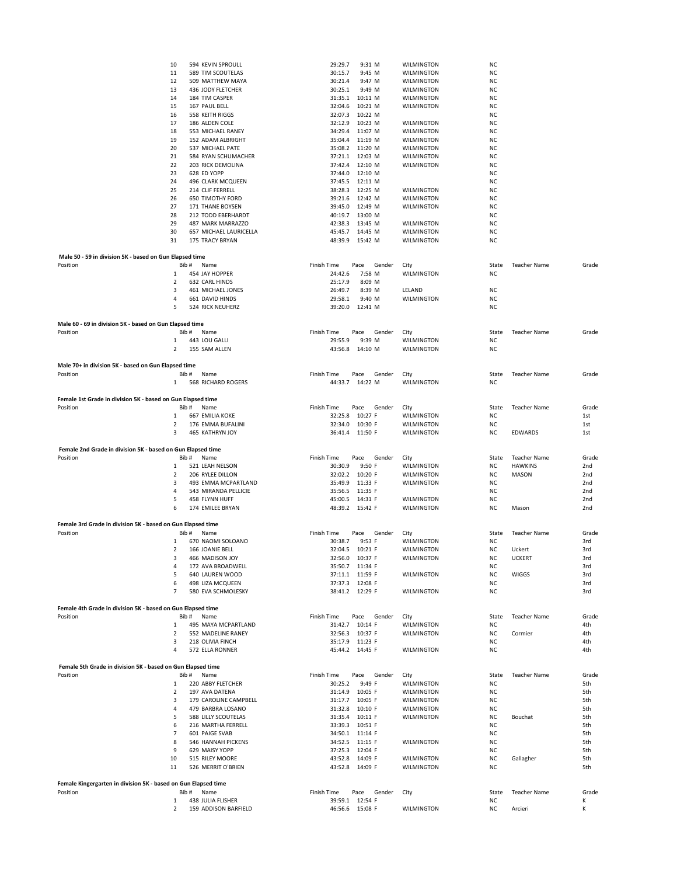|                                                                | 10                  | 594 KEVIN SPROULL                         | 29:29.7<br>9:31 M                     | WILMINGTON               | NC                     |                                |                 |
|----------------------------------------------------------------|---------------------|-------------------------------------------|---------------------------------------|--------------------------|------------------------|--------------------------------|-----------------|
|                                                                | 11                  | 589 TIM SCOUTELAS                         | 30:15.7<br>9:45 M                     | WILMINGTON               | NC                     |                                |                 |
|                                                                | 12                  | 509 MATTHEW MAYA                          | 30:21.4<br>9:47 M                     | <b>WILMINGTON</b>        | NC                     |                                |                 |
|                                                                | 13                  | 436 JODY FLETCHER                         | 30:25.1<br>9:49 M                     | WILMINGTON               | NC                     |                                |                 |
|                                                                | 14                  | 184 TIM CASPER                            | 31:35.1<br>10:11 M                    | WILMINGTON               | <b>NC</b>              |                                |                 |
|                                                                | 15                  | 167 PAUL BELL                             | 32:04.6<br>10:21 M                    | WILMINGTON               | <b>NC</b>              |                                |                 |
|                                                                | 16                  | 558 KEITH RIGGS                           | 32:07.3<br>10:22 M                    |                          | <b>NC</b>              |                                |                 |
|                                                                | 17                  | 186 ALDEN COLE                            | 32:12.9<br>10:23 M                    | WILMINGTON               | <b>NC</b>              |                                |                 |
|                                                                | 18                  | 553 MICHAEL RANEY                         | 34:29.4<br>11:07 M                    | WILMINGTON               | <b>NC</b>              |                                |                 |
|                                                                | 19                  | 152 ADAM ALBRIGHT                         | 35:04.4<br>11:19 M                    | WILMINGTON               | <b>NC</b>              |                                |                 |
|                                                                | 20<br>21            | 537 MICHAEL PATE                          | 35:08.2 11:20 M<br>37:21.1 12:03 M    | WILMINGTON               | NC<br><b>NC</b>        |                                |                 |
|                                                                | 22                  | 584 RYAN SCHUMACHER<br>203 RICK DEMOLINA  | 37:42.4<br>12:10 M                    | WILMINGTON<br>WILMINGTON | <b>NC</b>              |                                |                 |
|                                                                | 23                  | 628 ED YOPP                               | 37:44.0<br>12:10 M                    |                          | <b>NC</b>              |                                |                 |
|                                                                | 24                  | 496 CLARK MCQUEEN                         | 37:45.5 12:11 M                       |                          | NC                     |                                |                 |
|                                                                | 25                  | 214 CLIF FERRELL                          | 38:28.3 12:25 M                       | WILMINGTON               | <b>NC</b>              |                                |                 |
|                                                                | 26                  | <b>650 TIMOTHY FORD</b>                   | 39:21.6<br>12:42 M                    | WILMINGTON               | NC                     |                                |                 |
|                                                                | 27                  | 171 THANE BOYSEN                          | 39:45.0<br>12:49 M                    | WILMINGTON               | NC                     |                                |                 |
|                                                                | 28                  | 212 TODD EBERHARDT                        | 40:19.7<br>13:00 M                    |                          | ΝC                     |                                |                 |
|                                                                | 29                  | 487 MARK MARRAZZO                         | 42:38.3<br>13:45 M                    | WILMINGTON               | NC                     |                                |                 |
|                                                                | 30                  | 657 MICHAEL LAURICELLA                    | 45:45.7<br>14:45 M                    | WILMINGTON               | ΝC                     |                                |                 |
|                                                                | 31                  | 175 TRACY BRYAN                           | 48:39.9<br>15:42 M                    | WILMINGTON               | <b>NC</b>              |                                |                 |
|                                                                |                     |                                           |                                       |                          |                        |                                |                 |
| Male 50 - 59 in division 5K - based on Gun Elapsed time        |                     |                                           |                                       |                          |                        |                                |                 |
| Position                                                       | Bib#                | Name                                      | Finish Time<br>Gender<br>Pace         | City                     | State                  | <b>Teacher Name</b>            | Grade           |
|                                                                | 1                   | 454 JAY HOPPER                            | 24:42.6<br>7:58 M                     | <b>WILMINGTON</b>        | NC                     |                                |                 |
|                                                                | $\overline{2}$      | 632 CARL HINDS                            | 25:17.9<br>8:09 M                     |                          |                        |                                |                 |
|                                                                | 3                   | 461 MICHAEL JONES                         | 26:49.7<br>8:39 M                     | LELAND                   | NC                     |                                |                 |
|                                                                | 4<br>5              | 661 DAVID HINDS<br>524 RICK NEUHERZ       | 29:58.1<br>9:40 M<br>39:20.0 12:41 M  | <b>WILMINGTON</b>        | NC<br>NC               |                                |                 |
|                                                                |                     |                                           |                                       |                          |                        |                                |                 |
| Male 60 - 69 in division 5K - based on Gun Elapsed time        |                     |                                           |                                       |                          |                        |                                |                 |
| Position                                                       | Bib #               | Name                                      | <b>Finish Time</b><br>Pace<br>Gender  | City                     | State                  | <b>Teacher Name</b>            | Grade           |
|                                                                | 1                   | 443 LOU GALLI                             | 29:55.9<br>9:39 M                     | WILMINGTON               | NC                     |                                |                 |
|                                                                | $\overline{2}$      | 155 SAM ALLEN                             | 14:10 M<br>43:56.8                    | WILMINGTON               | NC                     |                                |                 |
|                                                                |                     |                                           |                                       |                          |                        |                                |                 |
| Male 70+ in division 5K - based on Gun Elapsed time            |                     |                                           |                                       |                          |                        |                                |                 |
| Position                                                       | Bib#                | Name                                      | Finish Time<br>Pace<br>Gender         | City                     | State                  | <b>Teacher Name</b>            | Grade           |
|                                                                | $\mathbf{1}$        | 568 RICHARD ROGERS                        | 14:22 M<br>44:33.7                    | WILMINGTON               | NC                     |                                |                 |
|                                                                |                     |                                           |                                       |                          |                        |                                |                 |
| Female 1st Grade in division 5K - based on Gun Elapsed time    |                     |                                           |                                       |                          |                        |                                |                 |
| Position                                                       | Bib#                | Name                                      | Finish Time<br>Pace<br>Gender         | City                     | State                  | <b>Teacher Name</b>            | Grade           |
|                                                                | 1                   | 667 EMILIA KOKE<br>176 EMMA BUFALINI      | 32:25.8 10:27 F                       | WILMINGTON               | NC                     |                                | 1st             |
|                                                                | 2                   |                                           |                                       |                          |                        |                                | 1st             |
|                                                                |                     |                                           | 32:34.0<br>10:30 F                    | WILMINGTON               | ΝC                     |                                |                 |
|                                                                | 3                   | 465 KATHRYN JOY                           | 36:41.4 11:50 F                       | WILMINGTON               | NC                     | EDWARDS                        | 1st             |
|                                                                |                     |                                           |                                       |                          |                        |                                |                 |
| Female 2nd Grade in division 5K - based on Gun Elapsed time    |                     |                                           |                                       |                          |                        |                                |                 |
| Position                                                       | Bib #               | Name                                      | <b>Finish Time</b><br>Pace<br>Gender  | City                     | State                  | <b>Teacher Name</b>            | Grade           |
|                                                                | 1<br>$\overline{2}$ | 521 LEAH NELSON<br>206 RYLEE DILLON       | 30:30.9<br>9:50 F                     | WILMINGTON               | NC<br><b>NC</b>        | <b>HAWKINS</b><br><b>MASON</b> | 2nd<br>2nd      |
|                                                                | 3                   | 493 EMMA MCPARTLAND                       | 32:02.2 10:20 F<br>35:49.9<br>11:33 F | WILMINGTON<br>WILMINGTON | <b>NC</b>              |                                | 2nd             |
|                                                                | 4                   | 543 MIRANDA PELLICIE                      | 35:56.5<br>11:35 F                    |                          | <b>NC</b>              |                                | 2nd             |
|                                                                | 5                   | 458 FLYNN HUFF                            | 45:00.5 14:31 F                       | WILMINGTON               | NC                     |                                | 2nd             |
|                                                                | 6                   | 174 EMILEE BRYAN                          | 48:39.2 15:42 F                       | <b>WILMINGTON</b>        | NC                     | Mason                          | 2 <sub>nd</sub> |
|                                                                |                     |                                           |                                       |                          |                        |                                |                 |
| Female 3rd Grade in division 5K - based on Gun Elapsed time    |                     |                                           |                                       |                          |                        |                                |                 |
| Position                                                       | Bib#                | Name                                      | Finish Time<br>Pace<br>Gender         | City                     | State                  | <b>Teacher Name</b>            | Grade           |
|                                                                | 1                   | 670 NAOMI SOLOANO                         | 30:38.7<br>9:53 F                     | <b>WILMINGTON</b>        | NC                     |                                | 3rd             |
|                                                                | $\overline{2}$      | 166 JOANIE BELL                           | 32:04.5 10:21 F                       | <b>WILMINGTON</b>        | <b>NC</b>              | Uckert                         | 3rd             |
|                                                                | з                   | 466 MADISON JOY                           | 32:56.0 10:37 F                       | WILMINGTON               | NC                     | <b>UCKERT</b>                  | 3rd             |
|                                                                | 4                   | 172 AVA BROADWELL                         | 35:50.7 11:34 F                       |                          | ΝC                     |                                | 3rd             |
|                                                                | 5                   | 640 LAUREN WOOD                           | 37:11.1 11:59 F                       | WILMINGTON               | NC                     | <b>WIGGS</b>                   | 3rd             |
|                                                                | 6                   | 498 LIZA MCQUEEN                          | 37:37.3 12:08 F                       |                          | NC                     |                                | 3rd             |
|                                                                | 7                   | 580 EVA SCHMOLESKY                        | 38:41.2 12:29 F                       | WILMINGTON               | <b>NC</b>              |                                | 3rd             |
| Female 4th Grade in division 5K - based on Gun Elapsed time    |                     |                                           |                                       |                          |                        |                                |                 |
| Position                                                       | Bib#                | Name                                      | Gender<br>Finish Time<br>Pace         | City                     | State                  | <b>Teacher Name</b>            | Grade           |
|                                                                | 1                   | 495 MAYA MCPARTLAND                       | 31:42.7 10:14 F                       | WILMINGTON               | ΝC                     |                                | 4th             |
|                                                                | 2                   | 552 MADELINE RANEY                        | 32:56.3<br>10:37 F                    | WILMINGTON               | NC                     | Cormier                        | 4th             |
|                                                                | 3                   | 218 OLIVIA FINCH                          | 35:17.9 11:23 F                       |                          | NC                     |                                | 4th             |
|                                                                | 4                   | 572 ELLA RONNER                           | 45:44.2 14:45 F                       | WILMINGTON               | NC                     |                                | 4th             |
|                                                                |                     |                                           |                                       |                          |                        |                                |                 |
| Female 5th Grade in division 5K - based on Gun Elapsed time    |                     |                                           |                                       |                          |                        |                                |                 |
| Position                                                       | Bib#                | Name                                      | <b>Finish Time</b><br>Pace<br>Gender  | City                     | State                  | <b>Teacher Name</b>            | Grade           |
|                                                                | $\mathbf{1}$        | 220 ABBY FLETCHER                         | 30:25.2<br>9:49 F                     | WILMINGTON               | <b>NC</b>              |                                | 5th             |
|                                                                | 2                   | 197 AVA DATENA                            | 31:14.9 10:05 F                       | <b>WILMINGTON</b>        | <b>NC</b>              |                                | 5th             |
|                                                                | 3                   | 179 CAROLINE CAMPBELL                     | 31:17.7 10:05 F                       | WILMINGTON               | NC                     |                                | 5th             |
|                                                                | $\overline{4}$      | 479 BARBRA LOSANO                         | 31:32.8 10:10 F                       | WILMINGTON               | NC                     |                                | 5th             |
|                                                                | 5<br>6              | 588 LILLY SCOUTELAS                       | 31:35.4 10:11 F                       | WILMINGTON               | <b>NC</b>              | Bouchat                        | 5th             |
|                                                                | $\overline{7}$      | 216 MARTHA FERRELL<br>601 PAIGE SVAB      | 33:39.3 10:51 F<br>34:50.1 11:14 F    |                          | <b>NC</b><br><b>NC</b> |                                | 5th<br>5th      |
|                                                                | 8                   | 546 HANNAH PICKENS                        | 34:52.5 11:15 F                       | WILMINGTON               | NC                     |                                | 5th             |
|                                                                | 9                   | 629 MAISY YOPP                            | 37:25.3 12:04 F                       |                          | <b>NC</b>              |                                | 5th             |
|                                                                | 10                  | 515 RILEY MOORE                           | 43:52.8 14:09 F                       | WILMINGTON               | NC                     | Gallagher                      | 5th             |
|                                                                | 11                  | 526 MERRIT O'BRIEN                        | 43:52.8 14:09 F                       | WILMINGTON               | NC                     |                                | 5th             |
|                                                                |                     |                                           |                                       |                          |                        |                                |                 |
| Female Kingergarten in division 5K - based on Gun Elapsed time |                     |                                           |                                       |                          |                        |                                |                 |
| Position                                                       | Bib#                | Name                                      | Finish Time<br>Pace<br>Gender         | City                     | State                  | <b>Teacher Name</b>            | Grade           |
|                                                                | 1<br>$\overline{2}$ | 438 JULIA FLISHER<br>159 ADDISON BARFIELD | 39:59.1 12:54 F<br>46:56.6 15:08 F    | WILMINGTON               | ΝC<br>NC               | Arcieri                        | Κ<br>Κ          |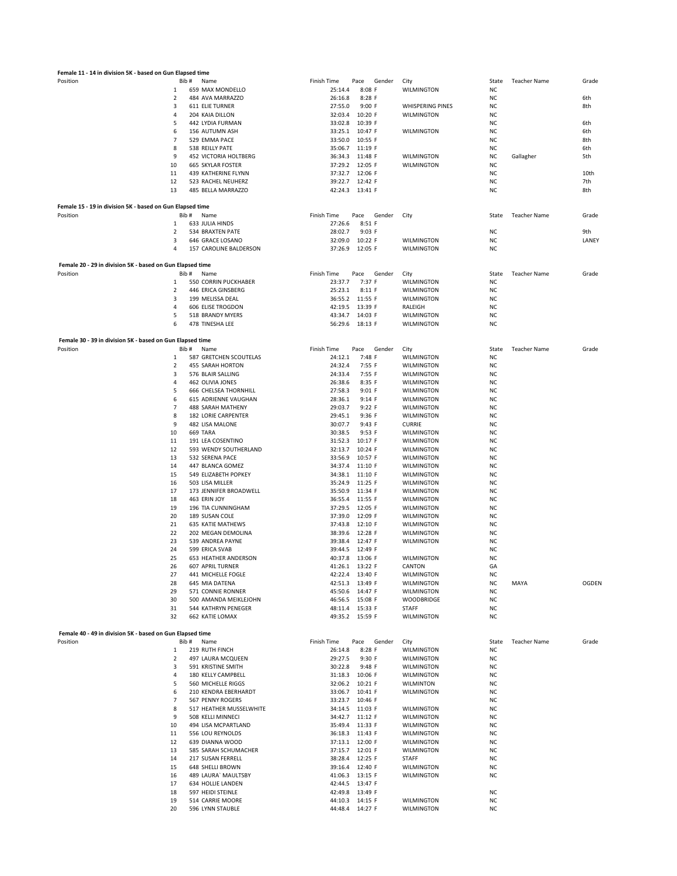| Female 11 - 14 in division 5K - based on Gun Elapsed time |                |                                                        |                                                           |                          |                        |                     |              |
|-----------------------------------------------------------|----------------|--------------------------------------------------------|-----------------------------------------------------------|--------------------------|------------------------|---------------------|--------------|
| Position                                                  | Bib#           | Name                                                   | Finish Time<br>Gender<br>Pace                             | City                     | State                  | Teacher Name        | Grade        |
|                                                           | 1              | 659 MAX MONDELLO                                       | $8:08$ F<br>25:14.4                                       | WILMINGTON               | NC                     |                     |              |
|                                                           | $\overline{2}$ | 484 AVA MARRAZZO                                       | 26:16.8<br>$8:28$ F                                       |                          | <b>NC</b>              |                     | 6th          |
|                                                           | 3              | <b>611 ELIE TURNER</b>                                 | 27:55.0<br>9:00 F                                         | <b>WHISPERING PINES</b>  | ΝC                     |                     | 8th          |
|                                                           | 4<br>5         | 204 KAIA DILLON                                        | 32:03.4<br>10:20 F<br>10:39 F                             | WILMINGTON               | ΝC                     |                     |              |
|                                                           | 6              | 442 LYDIA FURMAN<br>156 AUTUMN ASH                     | 33:02.8<br>33:25.1<br>10:47 F                             | WILMINGTON               | ΝC<br>ΝC               |                     | 6th<br>6th   |
|                                                           | 7              | 529 EMMA PACE                                          | 33:50.0<br>10:55 F                                        |                          | NC.                    |                     | 8th          |
|                                                           | 8              | 538 REILLY PATE                                        | 35:06.7<br>11:19 F                                        |                          | NC.                    |                     | 6th          |
|                                                           | 9              | <b>452 VICTORIA HOLTBERG</b>                           | 36:34.3<br>11:48 F                                        | <b>WILMINGTON</b>        | NC.                    | Gallagher           | 5th          |
|                                                           | 10             | <b>665 SKYLAR FOSTER</b>                               | 37:29.2<br>12:05 F                                        | WILMINGTON               | <b>NC</b>              |                     |              |
|                                                           | 11             | 439 KATHERINE FLYNN                                    | 37:32.7<br>12:06 F                                        |                          | NC.                    |                     | 10th         |
|                                                           | 12             | 523 RACHEL NEUHERZ                                     | 39:22.7 12:42 F                                           |                          | <b>NC</b>              |                     | 7th          |
|                                                           | 13             | 485 BELLA MARRAZZO                                     | 42:24.3 13:41 F                                           |                          | NC.                    |                     | 8th          |
| Female 15 - 19 in division 5K - based on Gun Elapsed time |                |                                                        |                                                           |                          |                        |                     |              |
| Position                                                  | Bib#           | Name                                                   | Finish Time<br>Pace<br>Gender                             | City                     | State                  | <b>Teacher Name</b> | Grade        |
|                                                           | 1              | 633 JULIA HINDS                                        | 27:26.6<br>$8:51$ F                                       |                          |                        |                     |              |
|                                                           | $\overline{2}$ | 534 BRAXTEN PATE                                       | 28:02.7<br>9:03 F                                         |                          | NC                     |                     | 9th          |
|                                                           | 3<br>4         | 646 GRACE LOSANO                                       | 32:09.0<br>10:22 F                                        | WILMINGTON               | NC                     |                     | LANEY        |
|                                                           |                | 157 CAROLINE BALDERSON                                 | 37:26.9<br>12:05 F                                        | WILMINGTON               | NC                     |                     |              |
| Female 20 - 29 in division 5K - based on Gun Elapsed time |                |                                                        |                                                           |                          |                        |                     |              |
| Position                                                  | Bib#           | Name                                                   | Finish Time<br>Pace<br>Gender                             | City                     | State                  | <b>Teacher Name</b> | Grade        |
|                                                           | 1              | 550 CORRIN PUCKHABER                                   | 23:37.7<br>7:37 F                                         | <b>WILMINGTON</b>        | NC                     |                     |              |
|                                                           | 2<br>3         | 446 ERICA GINSBERG<br>199 MELISSA DEAL                 | 25:23.1<br>8:11 F<br>36:55.2 11:55 F                      | WILMINGTON               | NC<br>NC               |                     |              |
|                                                           | 4              | 606 ELISE TROGDON                                      | 42:19.5<br>13:39 F                                        | WILMINGTON<br>RALEIGH    | <b>NC</b>              |                     |              |
|                                                           | 5              | 518 BRANDY MYERS                                       | 14:03 F<br>43:34.7                                        | WILMINGTON               | ΝC                     |                     |              |
|                                                           | 6              | 478 TINESHA LEE                                        | 18:13 F<br>56:29.6                                        | WILMINGTON               | ΝC                     |                     |              |
|                                                           |                |                                                        |                                                           |                          |                        |                     |              |
| Female 30 - 39 in division 5K - based on Gun Elapsed time |                |                                                        |                                                           |                          |                        |                     |              |
| Position                                                  | Bib#<br>1      | Name<br>587 GRETCHEN SCOUTELAS                         | <b>Finish Time</b><br>Gender<br>Pace<br>7:48 F<br>24:12.1 | City<br>WILMINGTON       | State<br>NC.           | <b>Teacher Name</b> | Grade        |
|                                                           | 2              | 455 SARAH HORTON                                       | 24:32.4<br>7:55 F                                         | <b>WILMINGTON</b>        | NC.                    |                     |              |
|                                                           | 3              | 576 BLAIR SALLING                                      | 24:33.4<br>7:55 F                                         | WILMINGTON               | <b>NC</b>              |                     |              |
|                                                           | 4              | 462 OLIVIA JONES                                       | 26:38.6<br>8:35 F                                         | WILMINGTON               | NC.                    |                     |              |
|                                                           | 5              | <b>666 CHELSEA THORNHILL</b>                           | 27:58.3<br>9:01 F                                         | WILMINGTON               | <b>NC</b>              |                     |              |
|                                                           | 6              | 615 ADRIENNE VAUGHAN                                   | 28:36.1<br>9:14 F                                         | WILMINGTON               | NC.                    |                     |              |
|                                                           | $\overline{7}$ | 488 SARAH MATHENY                                      | 29:03.7<br>9:22 F                                         | WILMINGTON               | NC                     |                     |              |
|                                                           | 8              | 182 LORIE CARPENTER                                    | 29:45.1<br>9:36 F                                         | WILMINGTON               | NC                     |                     |              |
|                                                           | 9              | 482 LISA MALONE                                        | 30:07.7<br>9:43 F                                         | <b>CURRIE</b>            | NC                     |                     |              |
|                                                           | 10             | 669 TARA                                               | 30:38.5<br>9:53 F                                         | WILMINGTON               | NC                     |                     |              |
|                                                           | 11             | 191 LEA COSENTINO                                      | 31:52.3<br>10:17 F                                        | WILMINGTON               | NC                     |                     |              |
|                                                           | 12             | 593 WENDY SOUTHERLAND                                  | 32:13.7<br>10:24 F                                        | WILMINGTON               | NC                     |                     |              |
|                                                           | 13<br>14       | 532 SERENA PACE<br>447 BLANCA GOMEZ                    | 33:56.9<br>10:57 F<br>34:37.4<br>11:10 F                  | WILMINGTON<br>WILMINGTON | NC<br>NC               |                     |              |
|                                                           | 15             | 549 ELIZABETH POPKEY                                   | 11:10 F<br>34:38.1                                        | WILMINGTON               | NC                     |                     |              |
|                                                           | 16             | 503 LISA MILLER                                        | 35:24.9<br>11:25 F                                        | WILMINGTON               | NC                     |                     |              |
|                                                           | 17             | 173 JENNIFER BROADWELL                                 | 35:50.9<br>11:34 F                                        | WILMINGTON               | NC                     |                     |              |
|                                                           | 18             | 463 ERIN JOY                                           | 36:55.4 11:55 F                                           | WILMINGTON               | NC                     |                     |              |
|                                                           | 19             | 196 TIA CUNNINGHAM                                     | 37:29.5<br>12:05 F                                        | WILMINGTON               | ΝC                     |                     |              |
|                                                           | 20             | 189 SUSAN COLE                                         | 37:39.0<br>12:09 F                                        | <b>WILMINGTON</b>        | ΝC                     |                     |              |
|                                                           | 21             | <b>635 KATIE MATHEWS</b>                               | 37:43.8<br>12:10 F                                        | WILMINGTON               | ΝC                     |                     |              |
|                                                           | 22             | 202 MEGAN DEMOLINA                                     | 38:39.6<br>12:28 F                                        | <b>WILMINGTON</b>        | NC                     |                     |              |
|                                                           | 23             | 539 ANDREA PAYNE                                       | 39:38.4<br>12:47 F                                        | <b>WILMINGTON</b>        | NC                     |                     |              |
|                                                           | 24             | 599 ERICA SVAB                                         | 39:44.5 12:49 F                                           |                          | NC                     |                     |              |
|                                                           | 25             | <b>653 HEATHER ANDERSON</b><br><b>607 APRIL TURNER</b> | 40:37.8<br>13:06 F                                        | WILMINGTON<br>CANTON     | <b>NC</b><br>GA        |                     |              |
|                                                           | 26<br>27       | 441 MICHELLE FOGLE                                     | 41:26.1 13:22 F<br>42:22.4<br>13:40 F                     | WILMINGTON               | NC                     |                     |              |
|                                                           | 28             | 645 MIA DATENA                                         | 42:51.3<br>13:49 F                                        | WILMINGTON               | NC                     | MAYA                | <b>OGDEN</b> |
|                                                           | 29             | 571 CONNIE RONNER                                      | 45:50.6 14:47 F                                           | WILMINGTON               | <b>NC</b>              |                     |              |
|                                                           | 30             | 500 AMANDA MEIKLEJOHN                                  | 46:56.5 15:08 F                                           | WOODBRIDGE               | <b>NC</b>              |                     |              |
|                                                           | 31             | 544 KATHRYN PENEGER                                    | 48:11.4 15:33 F                                           | <b>STAFF</b>             | NC                     |                     |              |
|                                                           | 32             | 662 KATIE LOMAX                                        | 49:35.2 15:59 F                                           | WILMINGTON               | NC                     |                     |              |
| Female 40 - 49 in division 5K - based on Gun Elapsed time |                |                                                        |                                                           |                          |                        |                     |              |
| Position                                                  | Bib #          | Name                                                   | <b>Finish Time</b><br>Pace<br>Gender                      | City                     | State                  | <b>Teacher Name</b> | Grade        |
|                                                           | 1              | 219 RUTH FINCH                                         | 26:14.8<br>$8:28$ F                                       | WILMINGTON               | <b>NC</b>              |                     |              |
|                                                           | $\overline{2}$ | 497 LAURA MCQUEEN                                      | 29:27.5<br>9:30 F                                         | WILMINGTON               | NC                     |                     |              |
|                                                           | 3              | 591 KRISTINE SMITH                                     | 30:22.8<br>9:48 F                                         | <b>WILMINGTON</b>        | NC                     |                     |              |
|                                                           | 4              | 180 KELLY CAMPBELL                                     | 31:18.3 10:06 F                                           | WILMINGTON               | NC                     |                     |              |
|                                                           | 5<br>6         | 560 MICHELLE RIGGS<br>210 KENDRA EBERHARDT             | 32:06.2 10:21 F<br>33:06.7 10:41 F                        | <b>WILMINTON</b>         | NC<br>NC               |                     |              |
|                                                           | 7              | 567 PENNY ROGERS                                       | 33:23.7 10:46 F                                           | WILMINGTON               | NC                     |                     |              |
|                                                           | 8              | 517 HEATHER MUSSELWHITE                                | 34:14.5 11:03 F                                           | WILMINGTON               | NC                     |                     |              |
|                                                           | 9              | 508 KELLI MINNECI                                      | 34:42.7<br>11:12 F                                        | WILMINGTON               | NC                     |                     |              |
|                                                           | 10             | 494 LISA MCPARTLAND                                    | 35:49.4<br>11:33 F                                        | WILMINGTON               | ΝC                     |                     |              |
|                                                           | 11             | 556 LOU REYNOLDS                                       | 36:18.3 11:43 F                                           | WILMINGTON               | ΝC                     |                     |              |
|                                                           | 12             | 639 DIANNA WOOD                                        | 37:13.1 12:00 F                                           | WILMINGTON               | ΝC                     |                     |              |
|                                                           | 13             | 585 SARAH SCHUMACHER                                   | 37:15.7<br>12:01 F                                        | WILMINGTON               | NC                     |                     |              |
|                                                           | 14             | 217 SUSAN FERRELL                                      | 38:28.4<br>12:25 F                                        | <b>STAFF</b>             | <b>NC</b>              |                     |              |
|                                                           | 15             | <b>648 SHELLI BROWN</b>                                | 39:16.4<br>12:40 F                                        | WILMINGTON               | NC                     |                     |              |
|                                                           | 16             | 489 LAURA' MAULTSBY                                    | 41:06.3 13:15 F                                           | WILMINGTON               | NC                     |                     |              |
|                                                           | 17             | 634 HOLLIE LANDEN                                      | 42:44.5 13:47 F                                           |                          |                        |                     |              |
|                                                           | 18<br>19       | 597 HEIDI STEINLE<br>514 CARRIE MOORE                  | 42:49.8 13:49 F<br>44:10.3 14:15 F                        | WILMINGTON               | <b>NC</b><br><b>NC</b> |                     |              |
|                                                           | 20             | 596 LYNN STAUBLE                                       | 44:48.4 14:27 F                                           | WILMINGTON               | NC                     |                     |              |
|                                                           |                |                                                        |                                                           |                          |                        |                     |              |